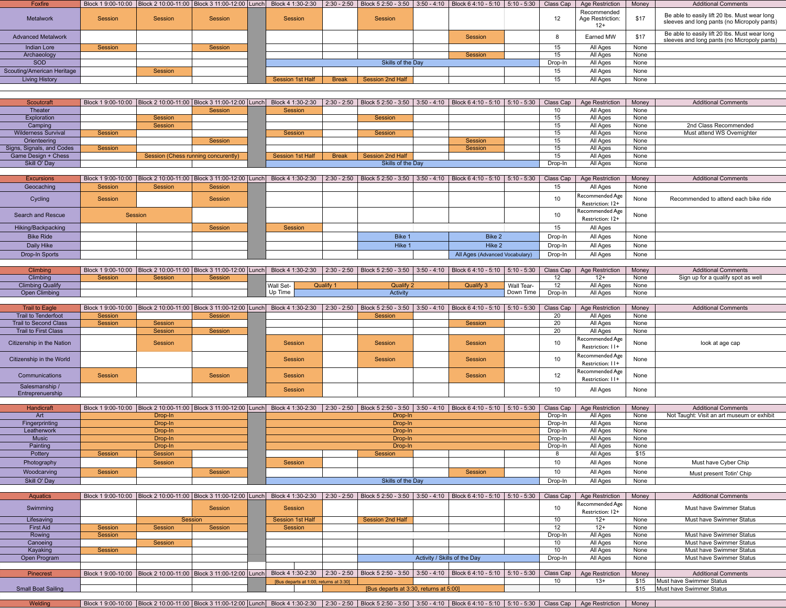| Foxfire                             |         |                                                                                                                                                                                                                   |         |                                        |              | Block 1 9:00-10:00   Block 2 10:00-11:00   Block 3 11:00-12:00  Lunch   Block 4 1:30-2:30   2:30 - 2:50   Block 5 2:50 - 3:50   3:50 - 4:10   Block 6 4:10 - 5:10   5:10 - 5:10   5:10 - 5:30   Class Cap |                              |                                |            |                    | <b>Age Restriction</b>                   | Money         | <b>Additional Comments</b>                                                                   |
|-------------------------------------|---------|-------------------------------------------------------------------------------------------------------------------------------------------------------------------------------------------------------------------|---------|----------------------------------------|--------------|-----------------------------------------------------------------------------------------------------------------------------------------------------------------------------------------------------------|------------------------------|--------------------------------|------------|--------------------|------------------------------------------|---------------|----------------------------------------------------------------------------------------------|
| Metalwork                           | Session | Session                                                                                                                                                                                                           | Session | Session                                |              | Session                                                                                                                                                                                                   |                              |                                |            | 12                 | Recommended<br>Age Restriction:<br>$12+$ | \$17          | Be able to easily lift 20 lbs. Must wear long<br>sleeves and long pants (no Micropoly pants) |
| <b>Advanced Metalwork</b>           |         |                                                                                                                                                                                                                   |         |                                        |              |                                                                                                                                                                                                           |                              | Session                        |            | 8                  | Earned MW                                | \$17          | Be able to easily lift 20 lbs. Must wear long<br>sleeves and long pants (no Micropoly pants) |
| Indian Lore                         | Session |                                                                                                                                                                                                                   | Session |                                        |              |                                                                                                                                                                                                           |                              |                                |            | 15                 | All Ages                                 | None          |                                                                                              |
| Archaeology                         |         |                                                                                                                                                                                                                   |         |                                        |              |                                                                                                                                                                                                           |                              | Session                        |            | 15                 | All Ages                                 | None          |                                                                                              |
| <b>SOD</b>                          |         |                                                                                                                                                                                                                   |         |                                        |              | Skills of the Day                                                                                                                                                                                         |                              |                                |            | Drop-In            | All Ages                                 | None          |                                                                                              |
| Scouting/American Heritage          |         | Session                                                                                                                                                                                                           |         |                                        |              |                                                                                                                                                                                                           |                              |                                |            | 15                 | All Ages                                 | None          |                                                                                              |
| <b>Living History</b>               |         |                                                                                                                                                                                                                   |         | <b>Session 1st Half</b>                | <b>Break</b> | <b>Session 2nd Half</b>                                                                                                                                                                                   |                              |                                |            | 15                 | All Ages                                 | None          |                                                                                              |
|                                     |         |                                                                                                                                                                                                                   |         |                                        |              |                                                                                                                                                                                                           |                              |                                |            |                    |                                          |               |                                                                                              |
|                                     |         |                                                                                                                                                                                                                   |         |                                        |              |                                                                                                                                                                                                           |                              |                                |            |                    |                                          |               |                                                                                              |
| Scoutcraft                          |         | Block 1 9:00-10:00  Block 2 10:00-11:00  Block 3 11:00-12:00  Lunch   Block 4 1:30-2:30   2:30 - 2:50   Block 5 2:50 - 3:50   3:50 - 4:10   Block 6 4:10 - 5:10   5:10 - 5:30   Class Cap                         |         |                                        |              |                                                                                                                                                                                                           |                              |                                |            |                    | <b>Age Restriction</b>                   | Money<br>None | <b>Additional Comments</b>                                                                   |
| Theater<br>Exploration              |         | Session                                                                                                                                                                                                           | Session | <b>Session</b>                         |              | Session                                                                                                                                                                                                   |                              |                                |            | 10<br>15           | All Ages<br>All Ages                     | None          |                                                                                              |
| Camping                             |         | Session                                                                                                                                                                                                           |         |                                        |              |                                                                                                                                                                                                           |                              |                                |            | 15                 | All Ages                                 | None          | 2nd Class Recommended                                                                        |
| Wilderness Survival                 | Session |                                                                                                                                                                                                                   |         | Session                                |              | Session                                                                                                                                                                                                   |                              |                                |            | 15                 | All Ages                                 | None          | Must attend WS Overnighter                                                                   |
| Orienteering                        |         |                                                                                                                                                                                                                   | Session |                                        |              |                                                                                                                                                                                                           |                              | Session                        |            | 15                 | All Ages                                 | None          |                                                                                              |
| Signs, Signals, and Codes           | Session |                                                                                                                                                                                                                   |         |                                        |              |                                                                                                                                                                                                           |                              | Session                        |            | 15                 | All Ages                                 | None          |                                                                                              |
| Game Design + Chess                 |         | Session (Chess running concurently)                                                                                                                                                                               |         | Session 1st Half                       | <b>Break</b> | <b>Session 2nd Half</b>                                                                                                                                                                                   |                              |                                |            | 15                 | All Ages                                 | None          |                                                                                              |
| Skill O' Day                        |         |                                                                                                                                                                                                                   |         |                                        |              | Skills of the Day                                                                                                                                                                                         |                              |                                |            | Drop-In            | All Ages                                 | None          |                                                                                              |
|                                     |         |                                                                                                                                                                                                                   |         |                                        |              |                                                                                                                                                                                                           |                              |                                |            |                    |                                          |               |                                                                                              |
| <b>Excursions</b>                   |         | Block 1 9:00-10:00   Block 2 10:00-11:00   Block 3 11:00-12:00   Lunch                                                                                                                                            |         | Block 4 1:30-2:30                      |              | 2:30 - 2:50   Block 5 2:50 - 3:50   3:50 - 4:10   Block 6 4:10 - 5:10   5:10 - 5:30                                                                                                                       |                              |                                |            | Class Cap          | Age Restriction                          | Money         | <b>Additional Comments</b>                                                                   |
| Geocaching                          | Session | Session                                                                                                                                                                                                           | Session |                                        |              |                                                                                                                                                                                                           |                              |                                |            | 15                 | All Ages                                 | None          |                                                                                              |
| Cycling                             | Session |                                                                                                                                                                                                                   | Session |                                        |              |                                                                                                                                                                                                           |                              |                                |            | 10                 | Recommended Age                          | None          | Recommended to attend each bike ride                                                         |
|                                     |         |                                                                                                                                                                                                                   |         |                                        |              |                                                                                                                                                                                                           |                              |                                |            |                    | Restriction: 12+                         |               |                                                                                              |
| Search and Rescue                   |         | Session                                                                                                                                                                                                           |         |                                        |              |                                                                                                                                                                                                           |                              |                                |            | 10                 | Recommended Age                          | None          |                                                                                              |
|                                     |         |                                                                                                                                                                                                                   |         |                                        |              |                                                                                                                                                                                                           |                              |                                |            |                    | Restriction: 12+                         |               |                                                                                              |
| Hiking/Backpacking                  |         |                                                                                                                                                                                                                   | Session | Session                                |              |                                                                                                                                                                                                           |                              |                                |            | 15                 | All Ages                                 |               |                                                                                              |
| <b>Bike Ride</b>                    |         |                                                                                                                                                                                                                   |         |                                        |              | Bike 1                                                                                                                                                                                                    |                              | Bike 2                         |            | Drop-In            | All Ages                                 | None          |                                                                                              |
| Daily Hike                          |         |                                                                                                                                                                                                                   |         |                                        |              | Hike 1                                                                                                                                                                                                    |                              | Hike 2                         |            | Drop-In            | All Ages                                 | None          |                                                                                              |
| Drop-In Sports                      |         |                                                                                                                                                                                                                   |         |                                        |              |                                                                                                                                                                                                           |                              | All Ages (Advanced Vocabulary) |            | Drop-In            | All Ages                                 | None          |                                                                                              |
|                                     |         |                                                                                                                                                                                                                   |         |                                        |              |                                                                                                                                                                                                           |                              |                                |            |                    |                                          |               |                                                                                              |
| <b>Climbing</b>                     |         | Block 1 9:00-10:00   Block 2 10:00-11:00   Block 3 11:00-12:00   Lunch                                                                                                                                            |         |                                        |              | Block 4 1:30-2:30   2:30 - 2:50   Block 5 2:50 - 3:50   3:50 - 4:10   Block 6 4:10 - 5:10   5:10 - 5:30                                                                                                   |                              |                                |            | Class Cap          | <b>Age Restriction</b>                   | Money         | <b>Additional Comments</b>                                                                   |
| Climbing<br><b>Climbing Qualify</b> | Session | Session                                                                                                                                                                                                           | Session | Wall Set-                              | Qualify 1    | Qualify 2                                                                                                                                                                                                 |                              | Qualify 3                      | Wall Tear- | 12<br>12           | $12+$<br>All Ages                        | None<br>None  | Sign up for a qualify spot as well                                                           |
| Open Climbing                       |         |                                                                                                                                                                                                                   |         | Up Time                                |              | Activity                                                                                                                                                                                                  |                              |                                | Down Time  | Drop-In            | All Ages                                 | None          |                                                                                              |
|                                     |         |                                                                                                                                                                                                                   |         |                                        |              |                                                                                                                                                                                                           |                              |                                |            |                    |                                          |               |                                                                                              |
| <b>Trail to Eagle</b>               |         | Block 1 9:00-10:00   Block 2 10:00-11:00   Block 3 11:00-12:00   Lunch                                                                                                                                            |         |                                        |              | Block 4 1:30-2:30 2:30 - 2:50 Block 5 2:50 - 3:50 3:50 - 4:10 Block 6 4:10 - 5:10 5:10 - 5:30                                                                                                             |                              |                                |            | Class Cap          | Age Restriction                          | Money         | <b>Additional Comments</b>                                                                   |
| Trail to Tenderfoot                 | Session |                                                                                                                                                                                                                   |         |                                        |              | Session                                                                                                                                                                                                   |                              |                                |            | 20                 | All Ages                                 | None          |                                                                                              |
|                                     |         |                                                                                                                                                                                                                   | Session |                                        |              |                                                                                                                                                                                                           |                              |                                |            |                    |                                          |               |                                                                                              |
| <b>Trail to Second Class</b>        | Session | <b>Session</b>                                                                                                                                                                                                    |         |                                        |              |                                                                                                                                                                                                           |                              | Session                        |            | 20                 | All Ages                                 | None          |                                                                                              |
| Trail to First Class                |         | Session                                                                                                                                                                                                           | Session |                                        |              |                                                                                                                                                                                                           |                              |                                |            | 20                 | All Ages                                 | None          |                                                                                              |
| Citizenship in the Nation           |         | Session                                                                                                                                                                                                           |         | Session                                |              | Session                                                                                                                                                                                                   |                              | Session                        |            | 10                 | Recommended Age<br>Restriction: 11+      | None          | look at age cap                                                                              |
| Citizenship in the World            |         |                                                                                                                                                                                                                   |         | Session                                |              | Session                                                                                                                                                                                                   |                              | Session                        |            | 10                 | Recommended Age                          | None          |                                                                                              |
| Communications                      | Session |                                                                                                                                                                                                                   | Session | Session                                |              |                                                                                                                                                                                                           |                              | Session                        |            | 12                 | Restriction: 11+<br>Recommended Age      | None          |                                                                                              |
| Salesmanship /                      |         |                                                                                                                                                                                                                   |         | Session                                |              |                                                                                                                                                                                                           |                              |                                |            | 10                 | Restriction: 11+<br>All Ages             | None          |                                                                                              |
| Entreprenuership                    |         |                                                                                                                                                                                                                   |         |                                        |              |                                                                                                                                                                                                           |                              |                                |            |                    |                                          |               |                                                                                              |
|                                     |         |                                                                                                                                                                                                                   |         |                                        |              |                                                                                                                                                                                                           |                              |                                |            |                    |                                          |               |                                                                                              |
| Handicraft                          |         | Block 1 9:00-10:00   Block 2 10:00-11:00   Block 3 11:00-12:00   Lunch   Block 4 1:30-2:30   2:30 - 2:50   Block 5 2:50 - 3:50   3:50 - 4:10   Block 6 4:10 - 5:10   5:10 - 5:30                                  |         |                                        |              |                                                                                                                                                                                                           |                              |                                |            | Class Cap          | Age Restriction                          | Money<br>None | <b>Additional Comments</b><br>Not Taught: Visit an art museum or exhibit                     |
| Art<br>Fingerprinting               |         | Drop-In<br>Drop-In                                                                                                                                                                                                |         |                                        |              | Drop-In<br>Drop-In                                                                                                                                                                                        |                              |                                |            | Drop-In<br>Drop-In | All Ages<br>All Ages                     | None          |                                                                                              |
| Leatherwork                         |         | Drop-In                                                                                                                                                                                                           |         |                                        |              | Drop-In                                                                                                                                                                                                   |                              |                                |            | Drop-In            | All Ages                                 | None          |                                                                                              |
| <b>Music</b>                        |         | Drop-In                                                                                                                                                                                                           |         |                                        |              | Drop-In                                                                                                                                                                                                   |                              |                                |            | Drop-In            | All Ages                                 | None          |                                                                                              |
| Painting                            |         | Drop-In                                                                                                                                                                                                           |         |                                        |              | Drop-In                                                                                                                                                                                                   |                              |                                |            | Drop-In            | All Ages                                 | None          |                                                                                              |
| Pottery                             | Session | Session                                                                                                                                                                                                           |         |                                        |              | Session                                                                                                                                                                                                   |                              |                                |            | 8                  | All Ages                                 | \$15          |                                                                                              |
| Photography                         |         | Session                                                                                                                                                                                                           |         | Session                                |              |                                                                                                                                                                                                           |                              |                                |            | 10                 | All Ages                                 | None          | Must have Cyber Chip                                                                         |
| Woodcarving                         | Session |                                                                                                                                                                                                                   | Session |                                        |              |                                                                                                                                                                                                           |                              | Session                        |            | 10                 | All Ages                                 | None          | Must present Totin' Chip                                                                     |
| Skill O' Day                        |         |                                                                                                                                                                                                                   |         |                                        |              | Skills of the Day                                                                                                                                                                                         |                              |                                |            | Drop-In            | All Ages                                 | None          |                                                                                              |
|                                     |         |                                                                                                                                                                                                                   |         |                                        |              |                                                                                                                                                                                                           |                              |                                |            |                    |                                          |               |                                                                                              |
| Aquatics                            |         | Block 1 9:00-10:00   Block 2 10:00-11:00   Block 3 11:00-12:00   Lunch   Block 4 1:30-2:30                                                                                                                        |         |                                        |              | 2:30 - 2:50   Block 5 2:50 - 3:50   3:50 - 4:10   Block 6 4:10 - 5:10   5:10 - 5:30                                                                                                                       |                              |                                |            | Class Cap          | <b>Age Restriction</b>                   | Money         | <b>Additional Comments</b>                                                                   |
| Swimming                            |         |                                                                                                                                                                                                                   | Session | Session                                |              |                                                                                                                                                                                                           |                              |                                |            | 10                 | Recommended Age                          | None          | Must have Swimmer Status                                                                     |
|                                     |         |                                                                                                                                                                                                                   |         |                                        |              |                                                                                                                                                                                                           |                              |                                |            |                    | Restriction: 12+                         |               |                                                                                              |
| Lifesaving<br><b>First Aid</b>      | Session | Session<br>Session                                                                                                                                                                                                |         | <b>Session 1st Half</b><br>Session     |              | Session 2nd Half                                                                                                                                                                                          |                              |                                |            | 10<br>12           | $12+$<br>$12+$                           | None<br>None  | Must have Swimmer Status                                                                     |
| Rowing                              | Session |                                                                                                                                                                                                                   | Session |                                        |              |                                                                                                                                                                                                           |                              |                                |            | Drop-In            | All Ages                                 | None          | Must have Swimmer Status                                                                     |
| Canoeing                            |         | Session                                                                                                                                                                                                           |         |                                        |              |                                                                                                                                                                                                           |                              |                                |            | 10                 | All Ages                                 | None          | Must have Swimmer Status                                                                     |
| Kayaking                            | Session |                                                                                                                                                                                                                   |         |                                        |              |                                                                                                                                                                                                           |                              |                                |            | 10                 | All Ages                                 | None          | Must have Swimmer Status                                                                     |
| Open Program                        |         |                                                                                                                                                                                                                   |         |                                        |              |                                                                                                                                                                                                           | Activity / Skills of the Day |                                |            | Drop-In            | All Ages                                 | None          | Must have Swimmer Status                                                                     |
|                                     |         |                                                                                                                                                                                                                   |         |                                        |              |                                                                                                                                                                                                           |                              |                                |            |                    |                                          |               |                                                                                              |
| Pinecrest                           |         | Block 1 9:00-10:00 Block 2 10:00-11:00 Block 3 11:00-12:00 Lunch Block 4 1:30-2:30 2:30 - 2:50 Block 5 2:50 - 3:50 3:50 - 4:10 Block 6 4:10 - 5:10 5:10 - 5:10                                                    |         |                                        |              |                                                                                                                                                                                                           |                              |                                |            | Class Cap          | Age Restriction                          | Money         | <b>Additional Comments</b>                                                                   |
|                                     |         |                                                                                                                                                                                                                   |         | [Bus departs at 1:00, returns at 3:30] |              |                                                                                                                                                                                                           |                              |                                |            | 10 <sup>1</sup>    | $13+$                                    | \$15          | Must have Swimmer Status                                                                     |
| <b>Small Boat Sailing</b>           |         |                                                                                                                                                                                                                   |         |                                        |              | [Bus departs at 3:30, returns at 5:00]                                                                                                                                                                    |                              |                                |            |                    |                                          | \$15          | Must have Swimmer Status                                                                     |
| Welding                             |         | Block 19:00-10:00  Block 2 10:00-11:00  Block 3 11:00-12:00  Lunch   Block 4 1:30-2:30   2:30 - 2:50  Block 5 2:50 - 3:50   3:50 - 4:10   Block 6 4:10 - 5:10   5:10 - 5:30   Class Cap   Age Restriction   Money |         |                                        |              |                                                                                                                                                                                                           |                              |                                |            |                    |                                          |               |                                                                                              |